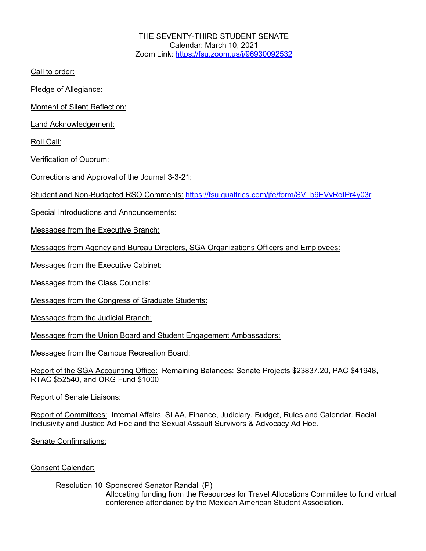THE SEVENTY-THIRD STUDENT SENATE Calendar: March 10, 2021 Zoom Link: https://fsu.zoom.us/j/96930092532

Call to order:

Pledge of Allegiance:

Moment of Silent Reflection:

Land Acknowledgement:

Roll Call:

Verification of Quorum:

Corrections and Approval of the Journal 3-3-21:

Student and Non-Budgeted RSO Comments: https://fsu.qualtrics.com/jfe/form/SV\_b9EVvRotPr4y03r

Special Introductions and Announcements:

Messages from the Executive Branch:

Messages from Agency and Bureau Directors, SGA Organizations Officers and Employees:

Messages from the Executive Cabinet:

Messages from the Class Councils:

Messages from the Congress of Graduate Students:

Messages from the Judicial Branch:

Messages from the Union Board and Student Engagement Ambassadors:

Messages from the Campus Recreation Board:

Report of the SGA Accounting Office: Remaining Balances: Senate Projects \$23837.20, PAC \$41948, RTAC \$52540, and ORG Fund \$1000

Report of Senate Liaisons:

Report of Committees: Internal Affairs, SLAA, Finance, Judiciary, Budget, Rules and Calendar. Racial Inclusivity and Justice Ad Hoc and the Sexual Assault Survivors & Advocacy Ad Hoc.

Senate Confirmations:

## Consent Calendar:

Resolution 10 Sponsored Senator Randall (P) Allocating funding from the Resources for Travel Allocations Committee to fund virtual conference attendance by the Mexican American Student Association.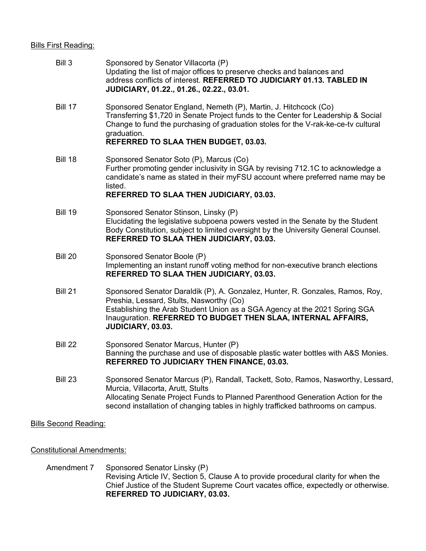## **Bills First Reading:**

| Bill 3                       | Sponsored by Senator Villacorta (P)<br>Updating the list of major offices to preserve checks and balances and<br>address conflicts of interest. REFERRED TO JUDICIARY 01.13. TABLED IN<br>JUDICIARY, 01.22., 01.26., 02.22., 03.01.                                                                 |
|------------------------------|-----------------------------------------------------------------------------------------------------------------------------------------------------------------------------------------------------------------------------------------------------------------------------------------------------|
| <b>Bill 17</b>               | Sponsored Senator England, Nemeth (P), Martin, J. Hitchcock (Co)<br>Transferring \$1,720 in Senate Project funds to the Center for Leadership & Social<br>Change to fund the purchasing of graduation stoles for the V-rak-ke-ce-tv cultural<br>graduation.<br>REFERRED TO SLAA THEN BUDGET, 03.03. |
| <b>Bill 18</b>               | Sponsored Senator Soto (P), Marcus (Co)<br>Further promoting gender inclusivity in SGA by revising 712.1C to acknowledge a<br>candidate's name as stated in their myFSU account where preferred name may be<br>listed.<br>REFERRED TO SLAA THEN JUDICIARY, 03.03.                                   |
| <b>Bill 19</b>               | Sponsored Senator Stinson, Linsky (P)<br>Elucidating the legislative subpoena powers vested in the Senate by the Student<br>Body Constitution, subject to limited oversight by the University General Counsel.<br>REFERRED TO SLAA THEN JUDICIARY, 03.03.                                           |
| <b>Bill 20</b>               | Sponsored Senator Boole (P)<br>Implementing an instant runoff voting method for non-executive branch elections<br>REFERRED TO SLAA THEN JUDICIARY, 03.03.                                                                                                                                           |
| <b>Bill 21</b>               | Sponsored Senator Daraldik (P), A. Gonzalez, Hunter, R. Gonzales, Ramos, Roy,<br>Preshia, Lessard, Stults, Nasworthy (Co)<br>Establishing the Arab Student Union as a SGA Agency at the 2021 Spring SGA<br>Inauguration. REFERRED TO BUDGET THEN SLAA, INTERNAL AFFAIRS,<br>JUDICIARY, 03.03.       |
| Bill 22                      | Sponsored Senator Marcus, Hunter (P)<br>Banning the purchase and use of disposable plastic water bottles with A&S Monies.<br>REFERRED TO JUDICIARY THEN FINANCE, 03.03.                                                                                                                             |
| <b>Bill 23</b>               | Sponsored Senator Marcus (P), Randall, Tackett, Soto, Ramos, Nasworthy, Lessard,<br>Murcia, Villacorta, Arutt, Stults<br>Allocating Senate Project Funds to Planned Parenthood Generation Action for the<br>second installation of changing tables in highly trafficked bathrooms on campus.        |
| <b>Bills Second Reading:</b> |                                                                                                                                                                                                                                                                                                     |

Constitutional Amendments:

Amendment 7 Sponsored Senator Linsky (P) Revising Article IV, Section 5, Clause A to provide procedural clarity for when the Chief Justice of the Student Supreme Court vacates office, expectedly or otherwise. **REFERRED TO JUDICIARY, 03.03.**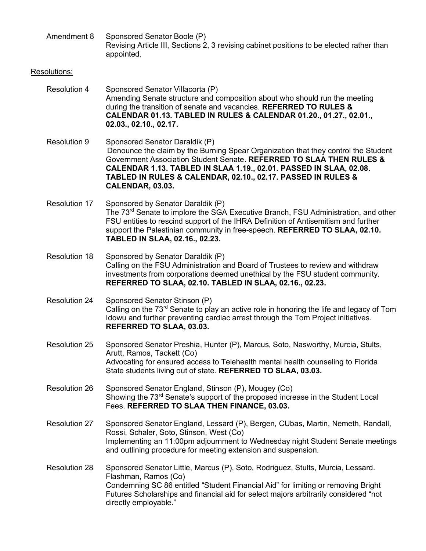Amendment 8 Sponsored Senator Boole (P) Revising Article III, Sections 2, 3 revising cabinet positions to be elected rather than appointed.

## Resolutions:

- Resolution 4 Sponsored Senator Villacorta (P) Amending Senate structure and composition about who should run the meeting during the transition of senate and vacancies. **REFERRED TO RULES & CALENDAR 01.13. TABLED IN RULES & CALENDAR 01.20., 01.27., 02.01., 02.03., 02.10., 02.17.**
- Resolution 9 Sponsored Senator Daraldik (P) Denounce the claim by the Burning Spear Organization that they control the Student Government Association Student Senate. **REFERRED TO SLAA THEN RULES & CALENDAR 1.13. TABLED IN SLAA 1.19., 02.01. PASSED IN SLAA, 02.08. TABLED IN RULES & CALENDAR, 02.10., 02.17. PASSED IN RULES & CALENDAR, 03.03.**
- Resolution 17 Sponsored by Senator Daraldik (P) The 73<sup>rd</sup> Senate to implore the SGA Executive Branch, FSU Administration, and other FSU entities to rescind support of the IHRA Definition of Antisemitism and further support the Palestinian community in free-speech. **REFERRED TO SLAA, 02.10. TABLED IN SLAA, 02.16., 02.23.**
- Resolution 18 Sponsored by Senator Daraldik (P) Calling on the FSU Administration and Board of Trustees to review and withdraw investments from corporations deemed unethical by the FSU student community. **REFERRED TO SLAA, 02.10. TABLED IN SLAA, 02.16., 02.23.**
- Resolution 24 Sponsored Senator Stinson (P) Calling on the 73<sup>rd</sup> Senate to play an active role in honoring the life and legacy of Tom Idowu and further preventing cardiac arrest through the Tom Project initiatives. **REFERRED TO SLAA, 03.03.**
- Resolution 25 Sponsored Senator Preshia, Hunter (P), Marcus, Soto, Nasworthy, Murcia, Stults, Arutt, Ramos, Tackett (Co) Advocating for ensured access to Telehealth mental health counseling to Florida State students living out of state. **REFERRED TO SLAA, 03.03.**
- Resolution 26 Sponsored Senator England, Stinson (P), Mougey (Co) Showing the 73<sup>rd</sup> Senate's support of the proposed increase in the Student Local Fees. **REFERRED TO SLAA THEN FINANCE, 03.03.**
- Resolution 27 Sponsored Senator England, Lessard (P), Bergen, CUbas, Martin, Nemeth, Randall, Rossi, Schaler, Soto, Stinson, West (Co) Implementing an 11:00pm adjournment to Wednesday night Student Senate meetings and outlining procedure for meeting extension and suspension.
- Resolution 28 Sponsored Senator Little, Marcus (P), Soto, Rodriguez, Stults, Murcia, Lessard. Flashman, Ramos (Co) Condemning SC 86 entitled "Student Financial Aid" for limiting or removing Bright Futures Scholarships and financial aid for select majors arbitrarily considered "not directly employable."